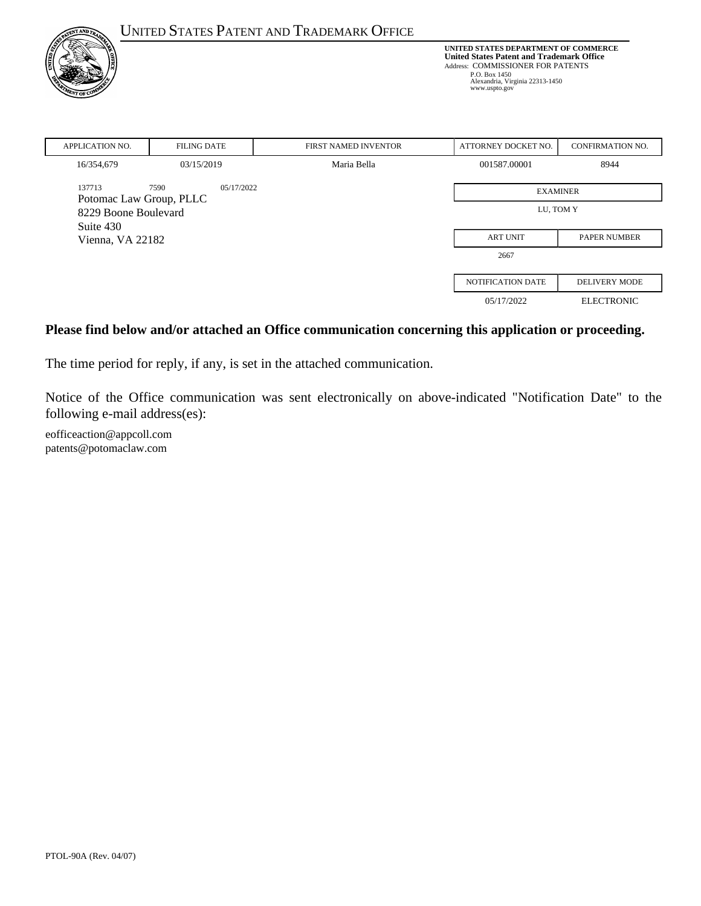| <b>TNT AND 7</b>                  |                    | <b>UNITED STATES PATENT AND TRADEMARK OFFICE</b>                                                                                                                                                   |                     |                         |
|-----------------------------------|--------------------|----------------------------------------------------------------------------------------------------------------------------------------------------------------------------------------------------|---------------------|-------------------------|
| <b>A</b><br>VT OF C               |                    | UNITED STATES DEPARTMENT OF COMMERCE<br><b>United States Patent and Trademark Office</b><br>Address: COMMISSIONER FOR PATENTS<br>P.O. Box 1450<br>Alexandria, Virginia 22313-1450<br>www.uspto.gov |                     |                         |
| <b>APPLICATION NO.</b>            | <b>FILING DATE</b> | FIRST NAMED INVENTOR                                                                                                                                                                               | ATTORNEY DOCKET NO. | <b>CONFIRMATION NO.</b> |
| 16/354,679                        | 03/15/2019         | Maria Bella                                                                                                                                                                                        | 001587.00001        | 8944                    |
| 137713<br>Potomac Law Group, PLLC | 7590<br>05/17/2022 | <b>EXAMINER</b>                                                                                                                                                                                    |                     |                         |
| 8229 Boone Boulevard<br>Suite 430 |                    | LU, TOM Y                                                                                                                                                                                          |                     |                         |
| Vienna, VA 22182                  |                    | <b>ART UNIT</b>                                                                                                                                                                                    | <b>PAPER NUMBER</b> |                         |
|                                   |                    |                                                                                                                                                                                                    | 2667                |                         |
|                                   |                    |                                                                                                                                                                                                    | NOTIFICATION DATE   | <b>DELIVERY MODE</b>    |
|                                   |                    |                                                                                                                                                                                                    | 05/17/2022          | <b>ELECTRONIC</b>       |

#### **Please find below and/or attached an Office communication concerning this application or proceeding.**

The time period for reply, if any, is set in the attached communication.

Notice of the Office communication was sent electronically on above-indicated "Notification Date" to the following e-mail address(es):

eofficeaction@appcoll.com patents@potomaclaw.com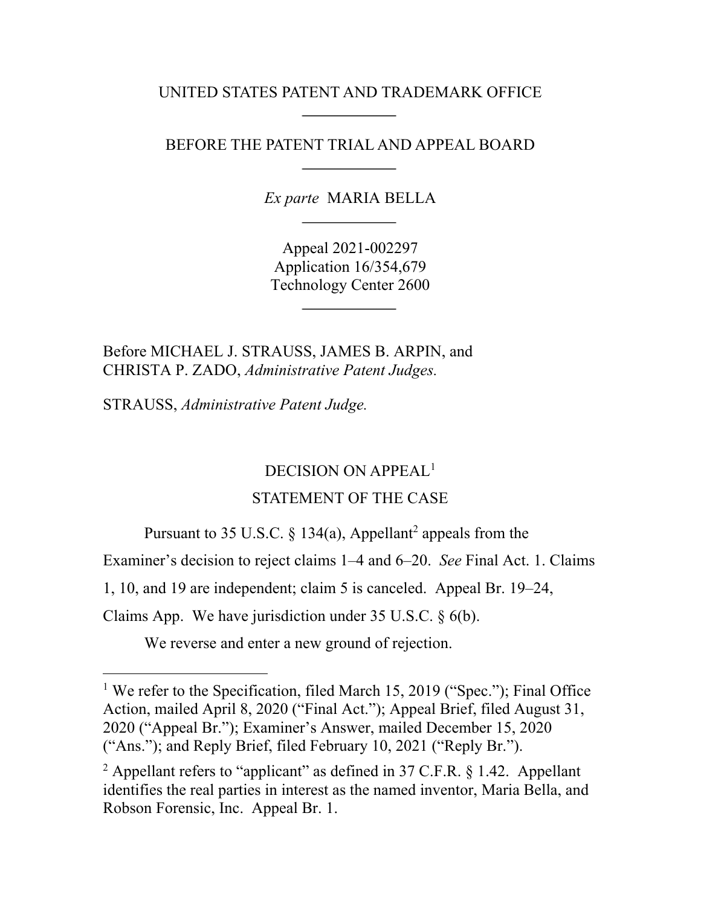UNITED STATES PATENT AND TRADEMARK OFFICE

BEFORE THE PATENT TRIAL AND APPEAL BOARD

*Ex parte* MARIA BELLA

Appeal 2021-002297 Application 16/354,679 Technology Center 2600

Before MICHAEL J. STRAUSS, JAMES B. ARPIN, and CHRISTA P. ZADO, *Administrative Patent Judges.* 

STRAUSS, *Administrative Patent Judge.* 

 $\overline{a}$ 

# DECISION ON APPEAL<sup>1</sup>

# STATEMENT OF THE CASE

Pursuant to 35 U.S.C.  $\S$  134(a), Appellant<sup>2</sup> appeals from the

Examiner's decision to reject claims 1–4 and 6–20. *See* Final Act. 1. Claims

1, 10, and 19 are independent; claim 5 is canceled. Appeal Br. 19–24,

Claims App. We have jurisdiction under 35 U.S.C. § 6(b).

We reverse and enter a new ground of rejection.

<sup>1</sup> We refer to the Specification, filed March 15, 2019 ("Spec."); Final Office Action, mailed April 8, 2020 ("Final Act."); Appeal Brief, filed August 31, 2020 ("Appeal Br."); Examiner's Answer, mailed December 15, 2020 ("Ans."); and Reply Brief, filed February 10, 2021 ("Reply Br.").

<sup>2</sup> Appellant refers to "applicant" as defined in 37 C.F.R.  $\S$  1.42. Appellant identifies the real parties in interest as the named inventor, Maria Bella, and Robson Forensic, Inc. Appeal Br. 1.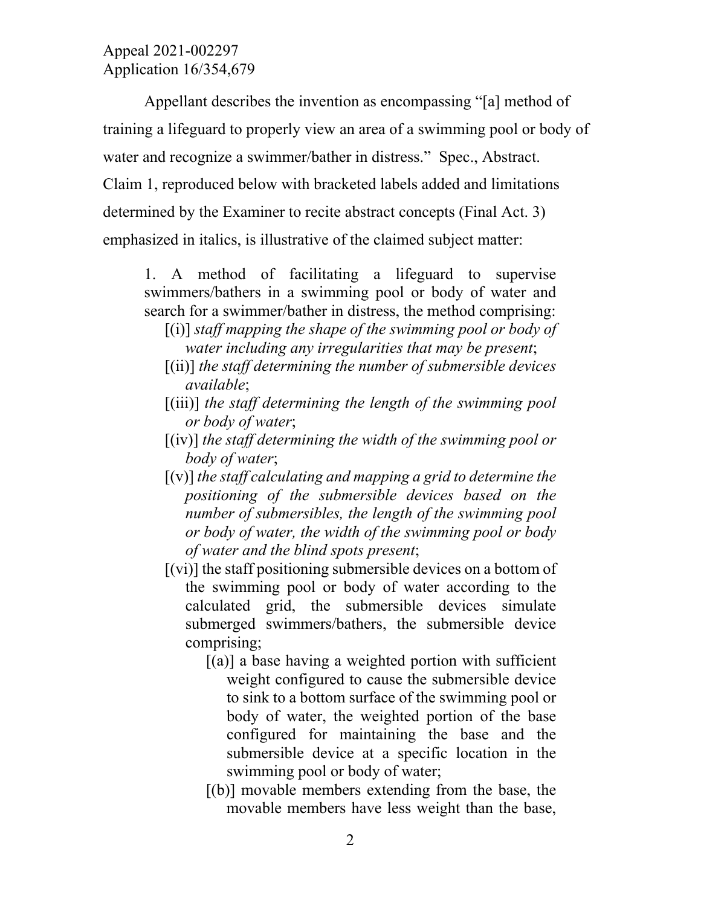Appellant describes the invention as encompassing "[a] method of training a lifeguard to properly view an area of a swimming pool or body of water and recognize a swimmer/bather in distress." Spec., Abstract. Claim 1, reproduced below with bracketed labels added and limitations determined by the Examiner to recite abstract concepts (Final Act. 3) emphasized in italics, is illustrative of the claimed subject matter:

1. A method of facilitating a lifeguard to supervise swimmers/bathers in a swimming pool or body of water and search for a swimmer/bather in distress, the method comprising:

- [(i)] *staff mapping the shape of the swimming pool or body of water including any irregularities that may be present*;
- [(ii)] *the staff determining the number of submersible devices available*;
- [(iii)] *the staff determining the length of the swimming pool or body of water*;
- [(iv)] *the staff determining the width of the swimming pool or body of water*;
- [(v)] *the staff calculating and mapping a grid to determine the positioning of the submersible devices based on the number of submersibles, the length of the swimming pool or body of water, the width of the swimming pool or body of water and the blind spots present*;
- $[(vi)]$  the staff positioning submersible devices on a bottom of the swimming pool or body of water according to the calculated grid, the submersible devices simulate submerged swimmers/bathers, the submersible device comprising;
	- $[(a)]$  a base having a weighted portion with sufficient weight configured to cause the submersible device to sink to a bottom surface of the swimming pool or body of water, the weighted portion of the base configured for maintaining the base and the submersible device at a specific location in the swimming pool or body of water;
	- $[(b)]$  movable members extending from the base, the movable members have less weight than the base,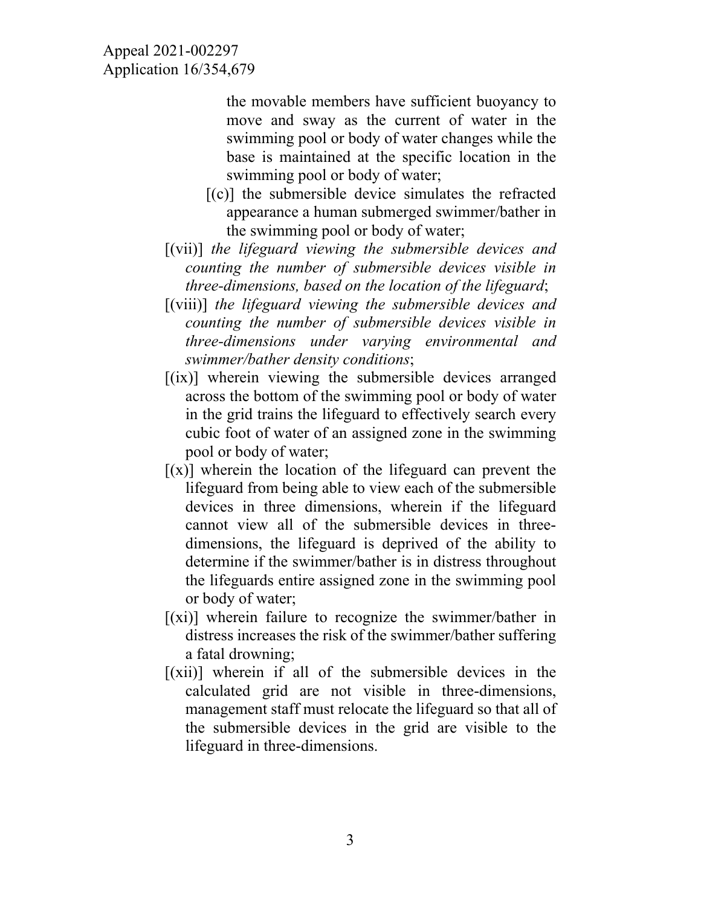the movable members have sufficient buoyancy to move and sway as the current of water in the swimming pool or body of water changes while the base is maintained at the specific location in the swimming pool or body of water;

- $[(c)]$  the submersible device simulates the refracted appearance a human submerged swimmer/bather in the swimming pool or body of water;
- [(vii)] *the lifeguard viewing the submersible devices and counting the number of submersible devices visible in three-dimensions, based on the location of the lifeguard*;
- [(viii)] *the lifeguard viewing the submersible devices and counting the number of submersible devices visible in three-dimensions under varying environmental and swimmer/bather density conditions*;
- $[(ix)]$  wherein viewing the submersible devices arranged across the bottom of the swimming pool or body of water in the grid trains the lifeguard to effectively search every cubic foot of water of an assigned zone in the swimming pool or body of water;
- $[(x)]$  wherein the location of the lifeguard can prevent the lifeguard from being able to view each of the submersible devices in three dimensions, wherein if the lifeguard cannot view all of the submersible devices in threedimensions, the lifeguard is deprived of the ability to determine if the swimmer/bather is in distress throughout the lifeguards entire assigned zone in the swimming pool or body of water;
- $[(xi)]$  wherein failure to recognize the swimmer/bather in distress increases the risk of the swimmer/bather suffering a fatal drowning;
- $[(xii)]$  wherein if all of the submersible devices in the calculated grid are not visible in three-dimensions, management staff must relocate the lifeguard so that all of the submersible devices in the grid are visible to the lifeguard in three-dimensions.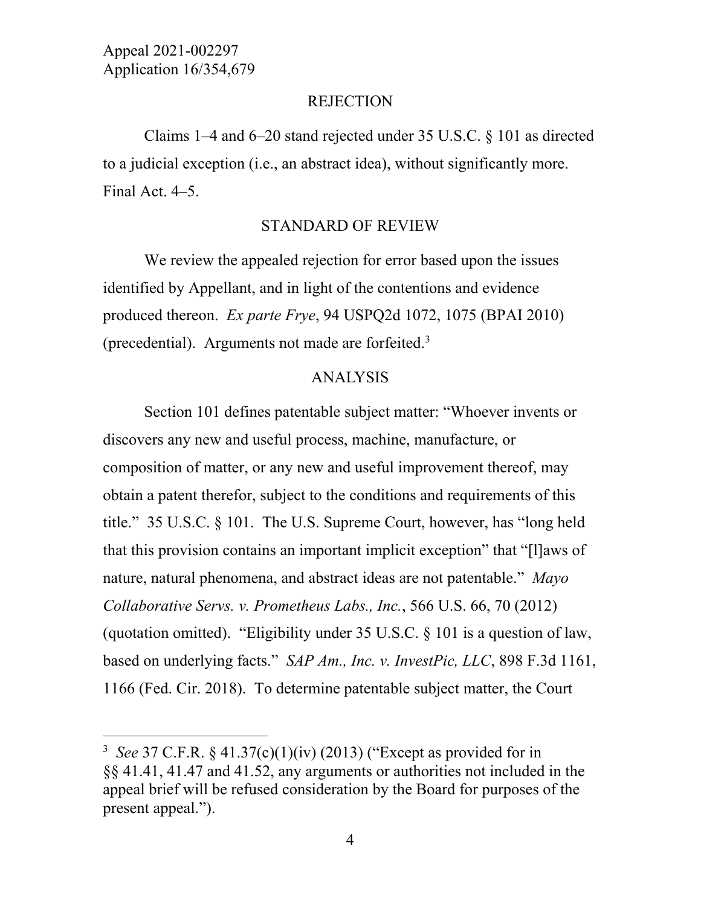l

#### **REJECTION**

Claims 1–4 and 6–20 stand rejected under 35 U.S.C. § 101 as directed to a judicial exception (i.e., an abstract idea), without significantly more. Final Act. 4–5.

#### STANDARD OF REVIEW

We review the appealed rejection for error based upon the issues identified by Appellant, and in light of the contentions and evidence produced thereon. *Ex parte Frye*, 94 USPQ2d 1072, 1075 (BPAI 2010) (precedential). Arguments not made are forfeited.<sup>3</sup>

#### ANALYSIS

Section 101 defines patentable subject matter: "Whoever invents or discovers any new and useful process, machine, manufacture, or composition of matter, or any new and useful improvement thereof, may obtain a patent therefor, subject to the conditions and requirements of this title." 35 U.S.C. § 101. The U.S. Supreme Court, however, has "long held that this provision contains an important implicit exception" that "[l]aws of nature, natural phenomena, and abstract ideas are not patentable." *Mayo Collaborative Servs. v. Prometheus Labs., Inc.*, 566 U.S. 66, 70 (2012) (quotation omitted). "Eligibility under 35 U.S.C. § 101 is a question of law, based on underlying facts." *SAP Am., Inc. v. InvestPic, LLC*, 898 F.3d 1161, 1166 (Fed. Cir. 2018). To determine patentable subject matter, the Court

<sup>3</sup> *See* 37 C.F.R. § 41.37(c)(1)(iv) (2013) ("Except as provided for in §§ 41.41, 41.47 and 41.52, any arguments or authorities not included in the appeal brief will be refused consideration by the Board for purposes of the present appeal.").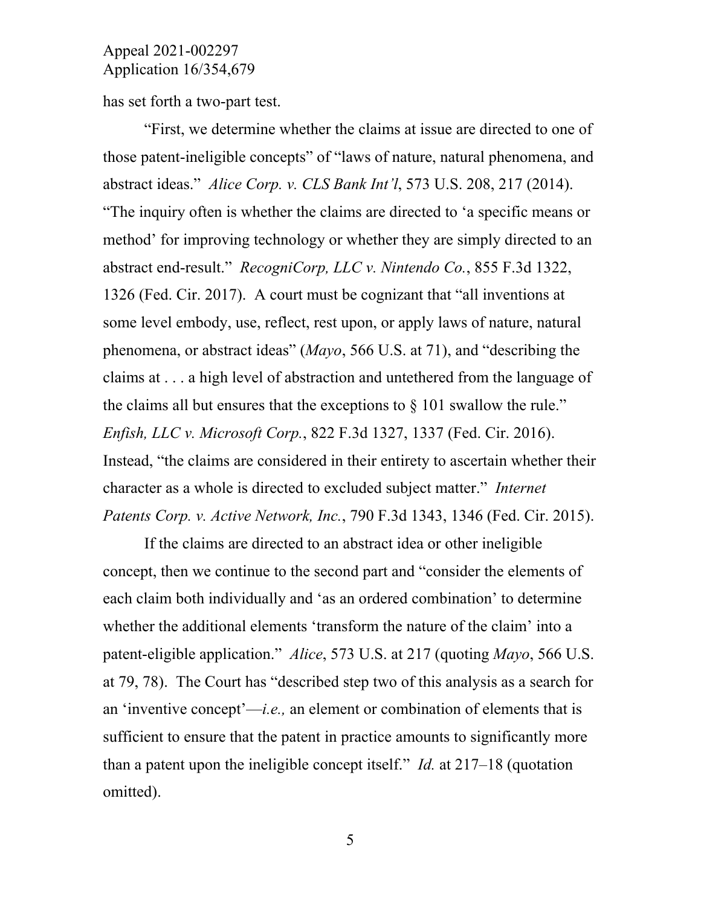has set forth a two-part test.

"First, we determine whether the claims at issue are directed to one of those patent-ineligible concepts" of "laws of nature, natural phenomena, and abstract ideas." *Alice Corp. v. CLS Bank Int'l*, 573 U.S. 208, 217 (2014). "The inquiry often is whether the claims are directed to 'a specific means or method' for improving technology or whether they are simply directed to an abstract end-result." *RecogniCorp, LLC v. Nintendo Co.*, 855 F.3d 1322, 1326 (Fed. Cir. 2017). A court must be cognizant that "all inventions at some level embody, use, reflect, rest upon, or apply laws of nature, natural phenomena, or abstract ideas" (*Mayo*, 566 U.S. at 71), and "describing the claims at . . . a high level of abstraction and untethered from the language of the claims all but ensures that the exceptions to  $\S$  101 swallow the rule." *Enfish, LLC v. Microsoft Corp.*, 822 F.3d 1327, 1337 (Fed. Cir. 2016). Instead, "the claims are considered in their entirety to ascertain whether their character as a whole is directed to excluded subject matter." *Internet Patents Corp. v. Active Network, Inc.*, 790 F.3d 1343, 1346 (Fed. Cir. 2015).

If the claims are directed to an abstract idea or other ineligible concept, then we continue to the second part and "consider the elements of each claim both individually and 'as an ordered combination' to determine whether the additional elements 'transform the nature of the claim' into a patent-eligible application." *Alice*, 573 U.S. at 217 (quoting *Mayo*, 566 U.S. at 79, 78). The Court has "described step two of this analysis as a search for an 'inventive concept'—*i.e.,* an element or combination of elements that is sufficient to ensure that the patent in practice amounts to significantly more than a patent upon the ineligible concept itself." *Id.* at 217–18 (quotation omitted).

5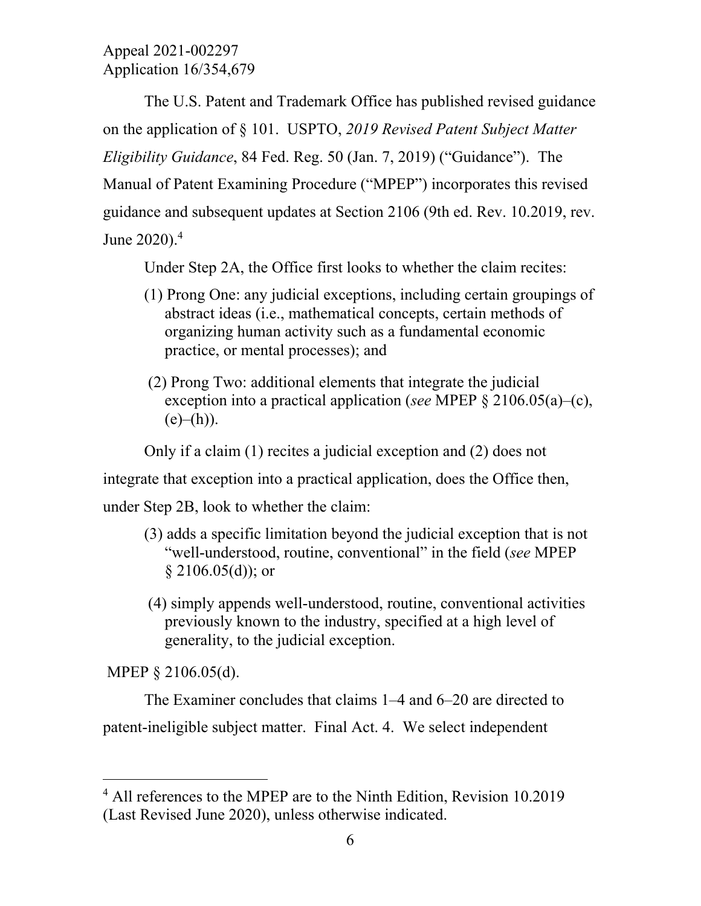The U.S. Patent and Trademark Office has published revised guidance on the application of § 101. USPTO, *2019 Revised Patent Subject Matter Eligibility Guidance*, 84 Fed. Reg. 50 (Jan. 7, 2019) ("Guidance").The Manual of Patent Examining Procedure ("MPEP") incorporates this revised guidance and subsequent updates at Section 2106 (9th ed. Rev. 10.2019, rev. June 2020).<sup>4</sup>

Under Step 2A, the Office first looks to whether the claim recites:

- (1) Prong One: any judicial exceptions, including certain groupings of abstract ideas (i.e., mathematical concepts, certain methods of organizing human activity such as a fundamental economic practice, or mental processes); and
- (2) Prong Two: additional elements that integrate the judicial exception into a practical application (*see* MPEP § 2106.05(a)–(c),  $(e)$ – $(h)$ ).

Only if a claim (1) recites a judicial exception and (2) does not

integrate that exception into a practical application, does the Office then,

under Step 2B, look to whether the claim:

- (3) adds a specific limitation beyond the judicial exception that is not "well-understood, routine, conventional" in the field (*see* MPEP  $§$  2106.05(d)); or
- (4) simply appends well-understood, routine, conventional activities previously known to the industry, specified at a high level of generality, to the judicial exception.

MPEP § 2106.05(d).

 $\overline{a}$ 

The Examiner concludes that claims 1–4 and 6–20 are directed to patent-ineligible subject matter. Final Act. 4. We select independent

<sup>&</sup>lt;sup>4</sup> All references to the MPEP are to the Ninth Edition, Revision 10.2019 (Last Revised June 2020), unless otherwise indicated.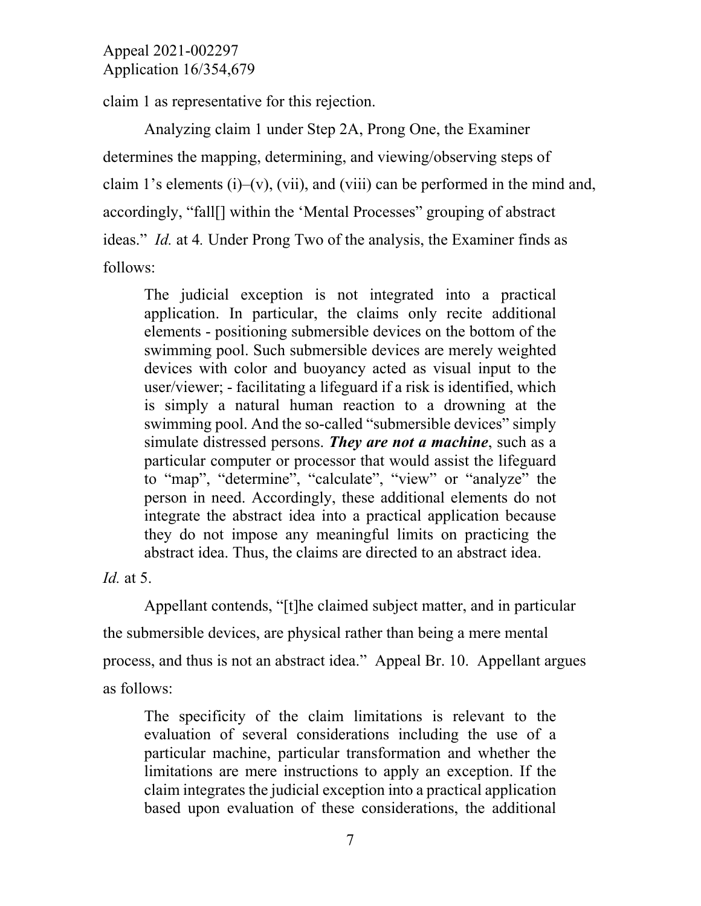claim 1 as representative for this rejection.

Analyzing claim 1 under Step 2A, Prong One, the Examiner determines the mapping, determining, and viewing/observing steps of claim 1's elements (i)–(v), (vii), and (viii) can be performed in the mind and, accordingly, "fall[] within the 'Mental Processes" grouping of abstract ideas." *Id.* at 4*.* Under Prong Two of the analysis, the Examiner finds as follows:

The judicial exception is not integrated into a practical application. In particular, the claims only recite additional elements - positioning submersible devices on the bottom of the swimming pool. Such submersible devices are merely weighted devices with color and buoyancy acted as visual input to the user/viewer; - facilitating a lifeguard if a risk is identified, which is simply a natural human reaction to a drowning at the swimming pool. And the so-called "submersible devices" simply simulate distressed persons. *They are not a machine*, such as a particular computer or processor that would assist the lifeguard to "map", "determine", "calculate", "view" or "analyze" the person in need. Accordingly, these additional elements do not integrate the abstract idea into a practical application because they do not impose any meaningful limits on practicing the abstract idea. Thus, the claims are directed to an abstract idea.

*Id.* at 5.

Appellant contends, "[t]he claimed subject matter, and in particular the submersible devices, are physical rather than being a mere mental process, and thus is not an abstract idea." Appeal Br. 10. Appellant argues as follows:

The specificity of the claim limitations is relevant to the evaluation of several considerations including the use of a particular machine, particular transformation and whether the limitations are mere instructions to apply an exception. If the claim integrates the judicial exception into a practical application based upon evaluation of these considerations, the additional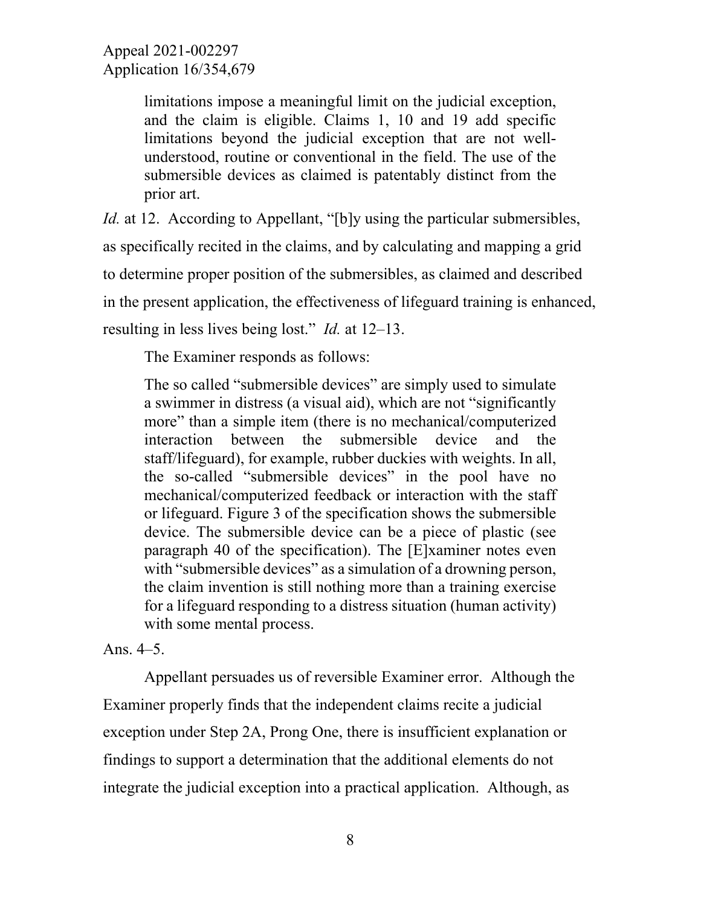limitations impose a meaningful limit on the judicial exception, and the claim is eligible. Claims 1, 10 and 19 add specific limitations beyond the judicial exception that are not wellunderstood, routine or conventional in the field. The use of the submersible devices as claimed is patentably distinct from the prior art.

*Id.* at 12. According to Appellant, "[b]y using the particular submersibles, as specifically recited in the claims, and by calculating and mapping a grid to determine proper position of the submersibles, as claimed and described in the present application, the effectiveness of lifeguard training is enhanced, resulting in less lives being lost." *Id.* at 12–13.

The Examiner responds as follows:

The so called "submersible devices" are simply used to simulate a swimmer in distress (a visual aid), which are not "significantly more" than a simple item (there is no mechanical/computerized interaction between the submersible device and the staff/lifeguard), for example, rubber duckies with weights. In all, the so-called "submersible devices" in the pool have no mechanical/computerized feedback or interaction with the staff or lifeguard. Figure 3 of the specification shows the submersible device. The submersible device can be a piece of plastic (see paragraph 40 of the specification). The [E]xaminer notes even with "submersible devices" as a simulation of a drowning person, the claim invention is still nothing more than a training exercise for a lifeguard responding to a distress situation (human activity) with some mental process.

### Ans. 4–5.

Appellant persuades us of reversible Examiner error. Although the Examiner properly finds that the independent claims recite a judicial exception under Step 2A, Prong One, there is insufficient explanation or findings to support a determination that the additional elements do not integrate the judicial exception into a practical application. Although, as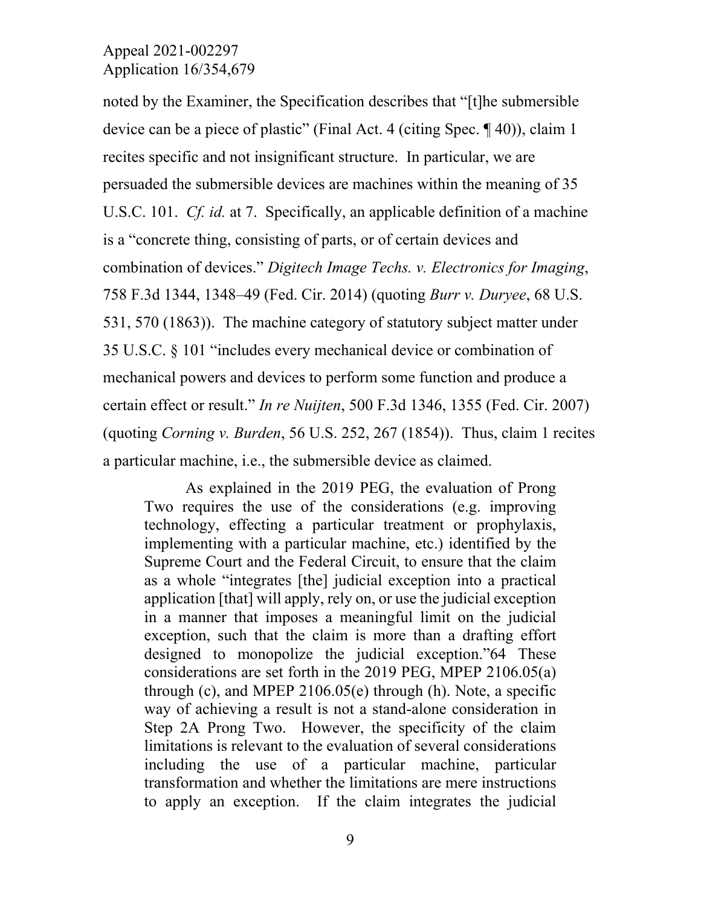noted by the Examiner, the Specification describes that "[t]he submersible device can be a piece of plastic" (Final Act. 4 (citing Spec. ¶ 40)), claim 1 recites specific and not insignificant structure. In particular, we are persuaded the submersible devices are machines within the meaning of 35 U.S.C. 101. *Cf. id.* at 7. Specifically, an applicable definition of a machine is a "concrete thing, consisting of parts, or of certain devices and combination of devices." *Digitech Image Techs. v. Electronics for Imaging*, 758 F.3d 1344, 1348–49 (Fed. Cir. 2014) (quoting *Burr v. Duryee*, 68 U.S. 531, 570 (1863)). The machine category of statutory subject matter under 35 U.S.C. § 101 "includes every mechanical device or combination of mechanical powers and devices to perform some function and produce a certain effect or result." *In re Nuijten*, 500 F.3d 1346, 1355 (Fed. Cir. 2007) (quoting *Corning v. Burden*, 56 U.S. 252, 267 (1854)). Thus, claim 1 recites a particular machine, i.e., the submersible device as claimed.

As explained in the 2019 PEG, the evaluation of Prong Two requires the use of the considerations (e.g. improving technology, effecting a particular treatment or prophylaxis, implementing with a particular machine, etc.) identified by the Supreme Court and the Federal Circuit, to ensure that the claim as a whole "integrates [the] judicial exception into a practical application [that] will apply, rely on, or use the judicial exception in a manner that imposes a meaningful limit on the judicial exception, such that the claim is more than a drafting effort designed to monopolize the judicial exception."64 These considerations are set forth in the 2019 PEG, MPEP 2106.05(a) through (c), and MPEP 2106.05(e) through (h). Note, a specific way of achieving a result is not a stand-alone consideration in Step 2A Prong Two. However, the specificity of the claim limitations is relevant to the evaluation of several considerations including the use of a particular machine, particular transformation and whether the limitations are mere instructions to apply an exception. If the claim integrates the judicial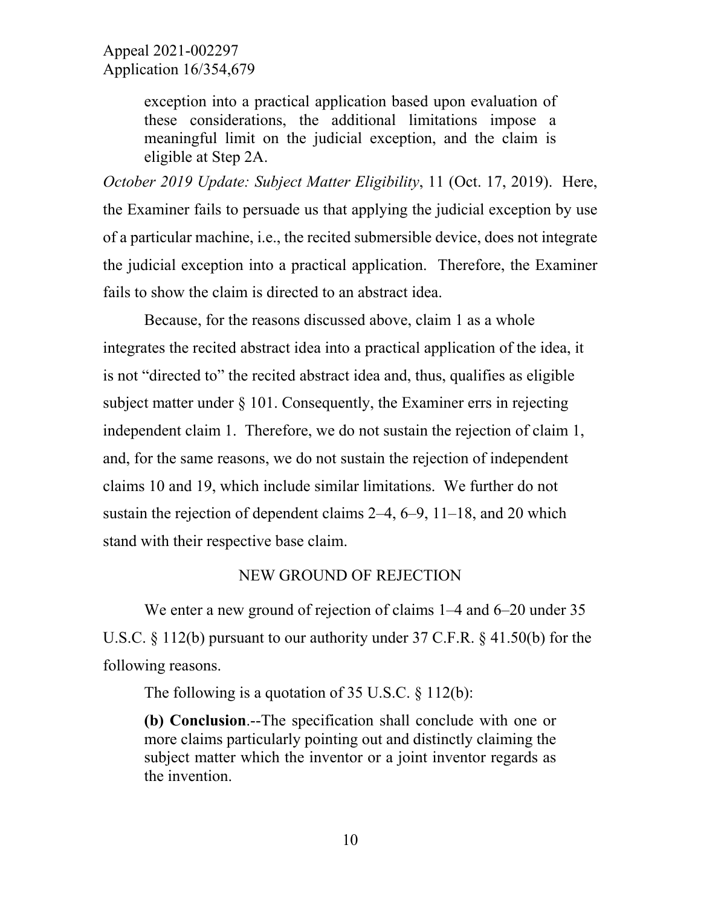exception into a practical application based upon evaluation of these considerations, the additional limitations impose a meaningful limit on the judicial exception, and the claim is eligible at Step 2A.

*October 2019 Update: Subject Matter Eligibility*, 11 (Oct. 17, 2019). Here, the Examiner fails to persuade us that applying the judicial exception by use of a particular machine, i.e., the recited submersible device, does not integrate the judicial exception into a practical application. Therefore, the Examiner fails to show the claim is directed to an abstract idea.

Because, for the reasons discussed above, claim 1 as a whole integrates the recited abstract idea into a practical application of the idea, it is not "directed to" the recited abstract idea and, thus, qualifies as eligible subject matter under  $\S 101$ . Consequently, the Examiner errs in rejecting independent claim 1. Therefore, we do not sustain the rejection of claim 1, and, for the same reasons, we do not sustain the rejection of independent claims 10 and 19, which include similar limitations. We further do not sustain the rejection of dependent claims 2–4, 6–9, 11–18, and 20 which stand with their respective base claim.

#### NEW GROUND OF REJECTION

We enter a new ground of rejection of claims 1–4 and 6–20 under 35 U.S.C. § 112(b) pursuant to our authority under 37 C.F.R. § 41.50(b) for the following reasons.

The following is a quotation of  $35$  U.S.C.  $\frac{12(b)}{b}$ :

**(b) Conclusion**.--The specification shall conclude with one or more claims particularly pointing out and distinctly claiming the subject matter which the inventor or a joint inventor regards as the invention.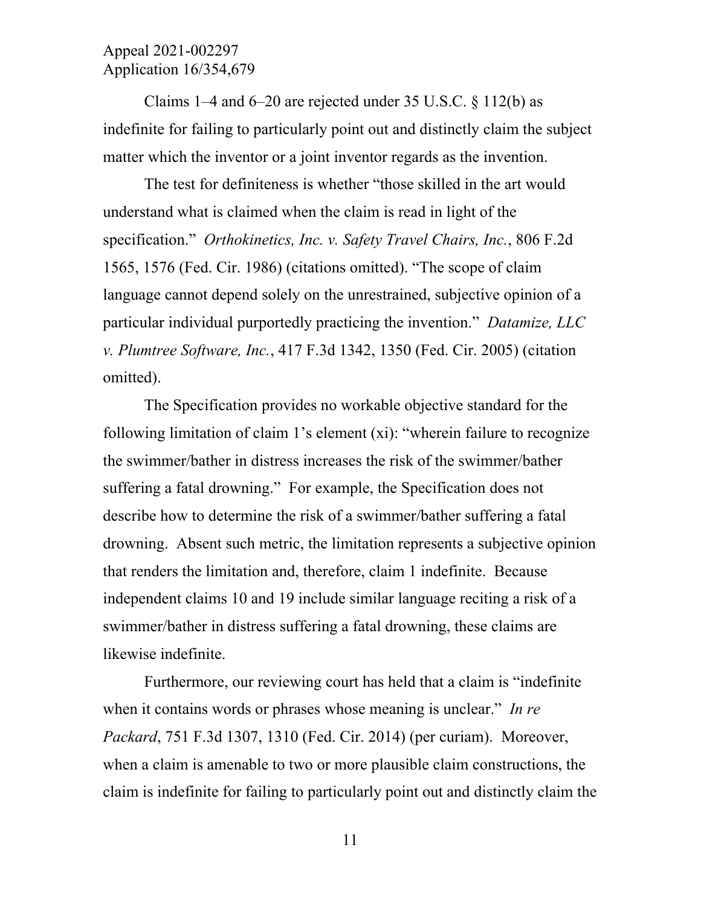Claims 1–4 and  $6-20$  are rejected under 35 U.S.C.  $\frac{112(b)}{b}$  as indefinite for failing to particularly point out and distinctly claim the subject matter which the inventor or a joint inventor regards as the invention.

The test for definiteness is whether "those skilled in the art would understand what is claimed when the claim is read in light of the specification." *Orthokinetics, Inc. v. Safety Travel Chairs, Inc.*, 806 F.2d 1565, 1576 (Fed. Cir. 1986) (citations omitted). "The scope of claim language cannot depend solely on the unrestrained, subjective opinion of a particular individual purportedly practicing the invention." *Datamize, LLC v. Plumtree Software, Inc.*, 417 F.3d 1342, 1350 (Fed. Cir. 2005) (citation omitted).

The Specification provides no workable objective standard for the following limitation of claim 1's element (xi): "wherein failure to recognize the swimmer/bather in distress increases the risk of the swimmer/bather suffering a fatal drowning." For example, the Specification does not describe how to determine the risk of a swimmer/bather suffering a fatal drowning. Absent such metric, the limitation represents a subjective opinion that renders the limitation and, therefore, claim 1 indefinite. Because independent claims 10 and 19 include similar language reciting a risk of a swimmer/bather in distress suffering a fatal drowning, these claims are likewise indefinite.

Furthermore, our reviewing court has held that a claim is "indefinite when it contains words or phrases whose meaning is unclear." *In re Packard*, 751 F.3d 1307, 1310 (Fed. Cir. 2014) (per curiam). Moreover, when a claim is amenable to two or more plausible claim constructions, the claim is indefinite for failing to particularly point out and distinctly claim the

11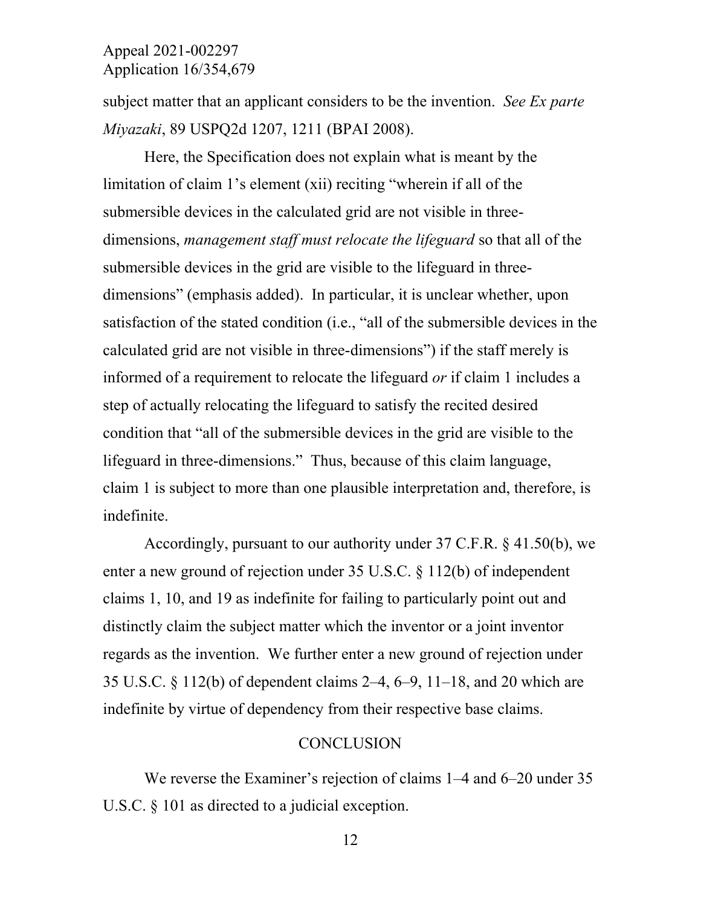subject matter that an applicant considers to be the invention. *See Ex parte Miyazaki*, 89 USPQ2d 1207, 1211 (BPAI 2008).

Here, the Specification does not explain what is meant by the limitation of claim 1's element (xii) reciting "wherein if all of the submersible devices in the calculated grid are not visible in threedimensions, *management staff must relocate the lifeguard* so that all of the submersible devices in the grid are visible to the lifeguard in threedimensions" (emphasis added). In particular, it is unclear whether, upon satisfaction of the stated condition (i.e., "all of the submersible devices in the calculated grid are not visible in three-dimensions") if the staff merely is informed of a requirement to relocate the lifeguard *or* if claim 1 includes a step of actually relocating the lifeguard to satisfy the recited desired condition that "all of the submersible devices in the grid are visible to the lifeguard in three-dimensions." Thus, because of this claim language, claim 1 is subject to more than one plausible interpretation and, therefore, is indefinite.

Accordingly, pursuant to our authority under 37 C.F.R. § 41.50(b), we enter a new ground of rejection under 35 U.S.C. § 112(b) of independent claims 1, 10, and 19 as indefinite for failing to particularly point out and distinctly claim the subject matter which the inventor or a joint inventor regards as the invention. We further enter a new ground of rejection under 35 U.S.C. § 112(b) of dependent claims 2–4, 6–9, 11–18, and 20 which are indefinite by virtue of dependency from their respective base claims.

#### **CONCLUSION**

We reverse the Examiner's rejection of claims 1–4 and 6–20 under 35 U.S.C.  $\&$  101 as directed to a judicial exception.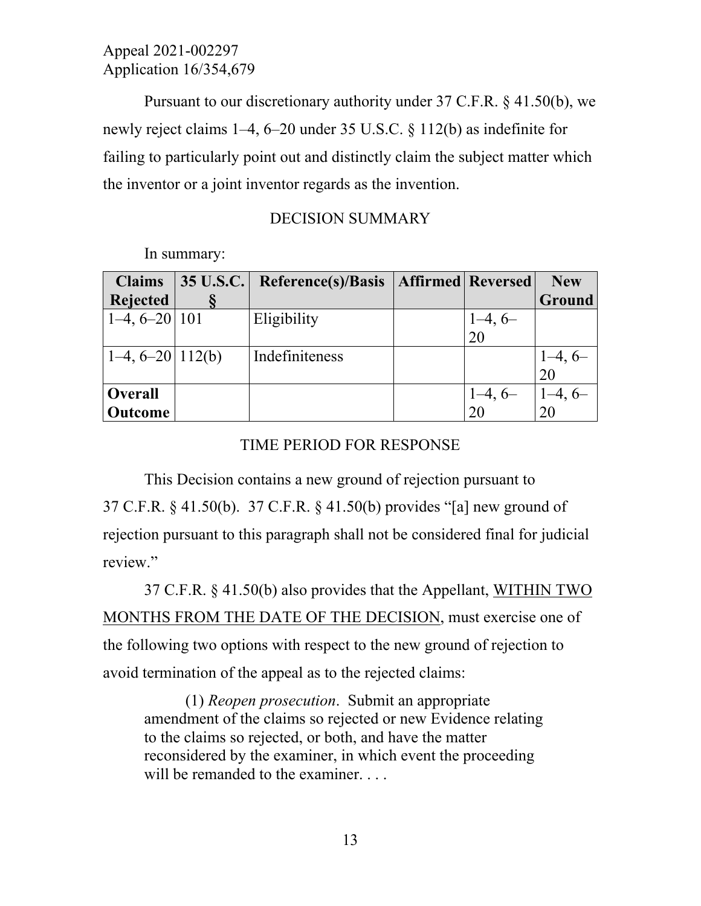Pursuant to our discretionary authority under 37 C.F.R. § 41.50(b), we newly reject claims 1–4, 6–20 under 35 U.S.C. § 112(b) as indefinite for failing to particularly point out and distinctly claim the subject matter which the inventor or a joint inventor regards as the invention.

### DECISION SUMMARY

In summary:

| <b>Claims</b>        | $\vert$ 35 U.S.C. | Reference(s)/Basis | <b>Affirmed Reversed</b> |                 | <b>New</b> |
|----------------------|-------------------|--------------------|--------------------------|-----------------|------------|
| <b>Rejected</b>      |                   |                    |                          |                 | Ground     |
| $ 1-4, 6-20 101$     |                   | Eligibility        |                          |                 |            |
|                      |                   |                    |                          | $1-4, 6-$<br>20 |            |
| $ 1-4, 6-20 112(b) $ |                   | Indefiniteness     |                          |                 | $1-4, 6-$  |
|                      |                   |                    |                          |                 | 20         |
| <b>Overall</b>       |                   |                    |                          |                 |            |
| <b>Outcome</b>       |                   |                    |                          | $1-4, 6-$<br>20 | 20         |

### TIME PERIOD FOR RESPONSE

This Decision contains a new ground of rejection pursuant to 37 C.F.R. § 41.50(b). 37 C.F.R. § 41.50(b) provides "[a] new ground of rejection pursuant to this paragraph shall not be considered final for judicial review."

 37 C.F.R. § 41.50(b) also provides that the Appellant, WITHIN TWO MONTHS FROM THE DATE OF THE DECISION, must exercise one of the following two options with respect to the new ground of rejection to avoid termination of the appeal as to the rejected claims:

(1) *Reopen prosecution*. Submit an appropriate amendment of the claims so rejected or new Evidence relating to the claims so rejected, or both, and have the matter reconsidered by the examiner, in which event the proceeding will be remanded to the examiner. . . .